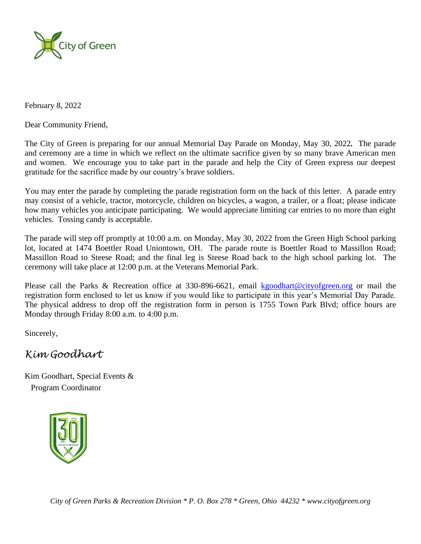

February 8, 2022

Dear Community Friend,

The City of Green is preparing for our annual Memorial Day Parade on Monday, May 30, 2022*.* The parade and ceremony are a time in which we reflect on the ultimate sacrifice given by so many brave American men and women. We encourage you to take part in the parade and help the City of Green express our deepest gratitude for the sacrifice made by our country's brave soldiers.

You may enter the parade by completing the parade registration form on the back of this letter. A parade entry may consist of a vehicle, tractor, motorcycle, children on bicycles, a wagon, a trailer, or a float; please indicate how many vehicles you anticipate participating. We would appreciate limiting car entries to no more than eight vehicles. Tossing candy is acceptable.

The parade will step off promptly at 10:00 a.m. on Monday, May 30, 2022 from the Green High School parking lot, located at 1474 Boettler Road Uniontown, OH. The parade route is Boettler Road to Massillon Road; Massillon Road to Steese Road; and the final leg is Steese Road back to the high school parking lot. The ceremony will take place at 12:00 p.m. at the Veterans Memorial Park.

Please call the Parks & Recreation office at 330-896-6621, email [kgoodhart@cityofgreen.org](mailto:kgoodhart@cityofgreen.org) or mail the registration form enclosed to let us know if you would like to participate in this year's Memorial Day Parade. The physical address to drop off the registration form in person is 1755 Town Park Blvd; office hours are Monday through Friday 8:00 a.m. to 4:00 p.m.

Sincerely,

## *Kim Goodhart*

Kim Goodhart, Special Events & Program Coordinator